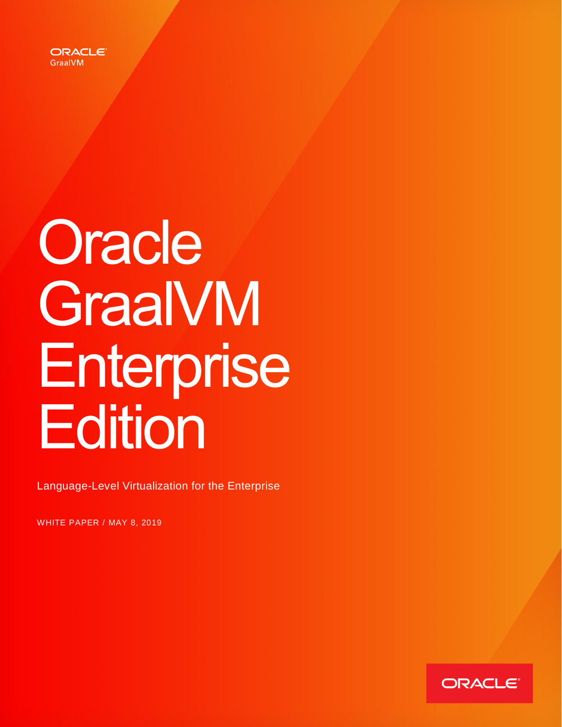

# **Oracle GraalVM** Enterprise **Edition**

Language-Level Virtualization for the Enterprise

WHITE PAPER / MAY 8, 2019

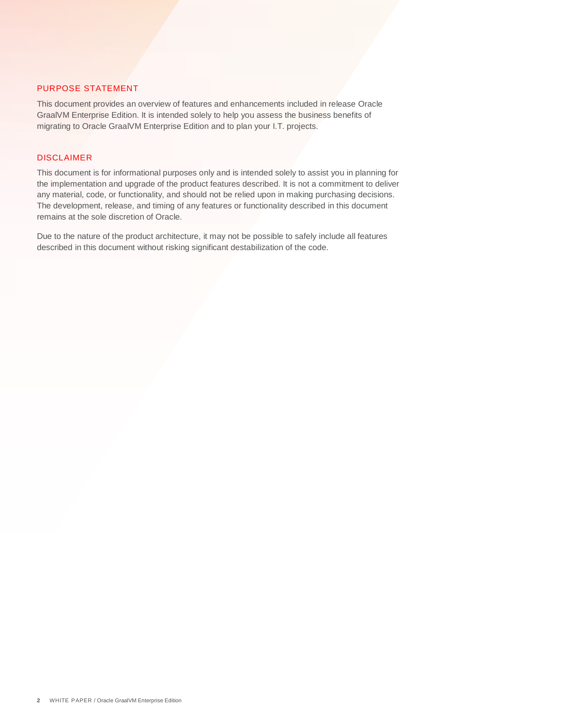# <span id="page-1-0"></span>PURPOSE STATEMENT

This document provides an overview of features and enhancements included in release Oracle GraalVM Enterprise Edition. It is intended solely to help you assess the business benefits of migrating to Oracle GraalVM Enterprise Edition and to plan your I.T. projects.

## DISCLAIMER

This document is for informational purposes only and is intended solely to assist you in planning for the implementation and upgrade of the product features described. It is not a commitment to deliver any material, code, or functionality, and should not be relied upon in making purchasing decisions. The development, release, and timing of any features or functionality described in this document remains at the sole discretion of Oracle.

Due to the nature of the product architecture, it may not be possible to safely include all features described in this document without risking significant destabilization of the code.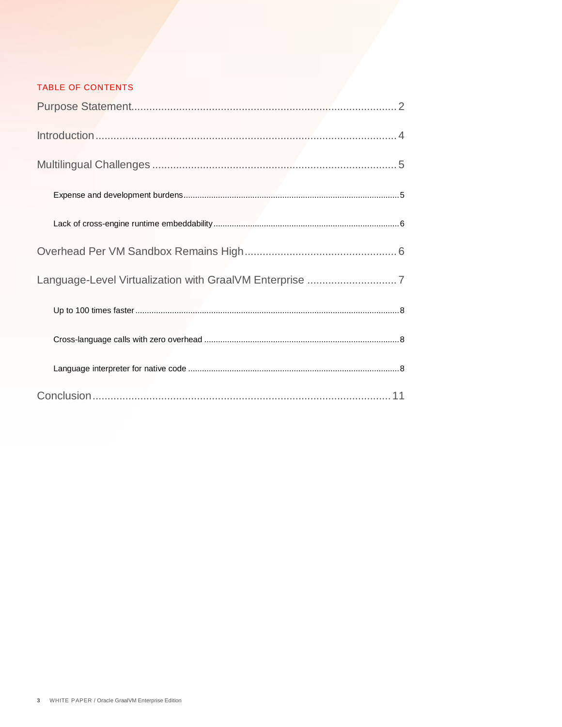# TABLE OF CONTENTS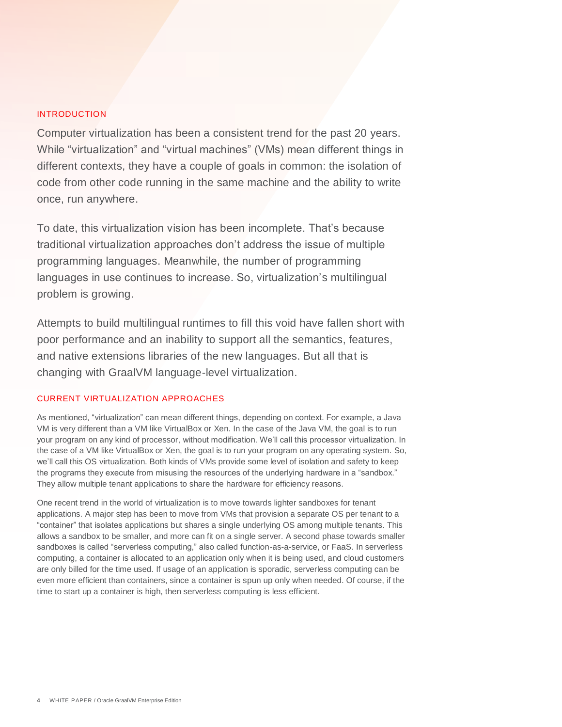# <span id="page-3-0"></span>INTRODUCTION

Computer virtualization has been a consistent trend for the past 20 years. While "virtualization" and "virtual machines" (VMs) mean different things in different contexts, they have a couple of goals in common: the isolation of code from other code running in the same machine and the ability to write once, run anywhere.

To date, this virtualization vision has been incomplete. That's because traditional virtualization approaches don't address the issue of multiple programming languages. Meanwhile, the number of programming languages in use continues to increase. So, virtualization's multilingual problem is growing.

Attempts to build multilingual runtimes to fill this void have fallen short with poor performance and an inability to support all the semantics, features, and native extensions libraries of the new languages. But all that is changing with GraalVM language-level virtualization.

# CURRENT VIRTUALIZATION APPROACHES

As mentioned, "virtualization" can mean different things, depending on context. For example, a Java VM is very different than a VM like VirtualBox or Xen. In the case of the Java VM, the goal is to run your program on any kind of processor, without modification. We'll call this processor virtualization. In the case of a VM like VirtualBox or Xen, the goal is to run your program on any operating system. So, we'll call this OS virtualization. Both kinds of VMs provide some level of isolation and safety to keep the programs they execute from misusing the resources of the underlying hardware in a "sandbox." They allow multiple tenant applications to share the hardware for efficiency reasons.

One recent trend in the world of virtualization is to move towards lighter sandboxes for tenant applications. A major step has been to move from VMs that provision a separate OS per tenant to a "container" that isolates applications but shares a single underlying OS among multiple tenants. This allows a sandbox to be smaller, and more can fit on a single server. A second phase towards smaller sandboxes is called "serverless computing," also called function-as-a-service, or FaaS. In serverless computing, a container is allocated to an application only when it is being used, and cloud customers are only billed for the time used. If usage of an application is sporadic, serverless computing can be even more efficient than containers, since a container is spun up only when needed. Of course, if the time to start up a container is high, then serverless computing is less efficient.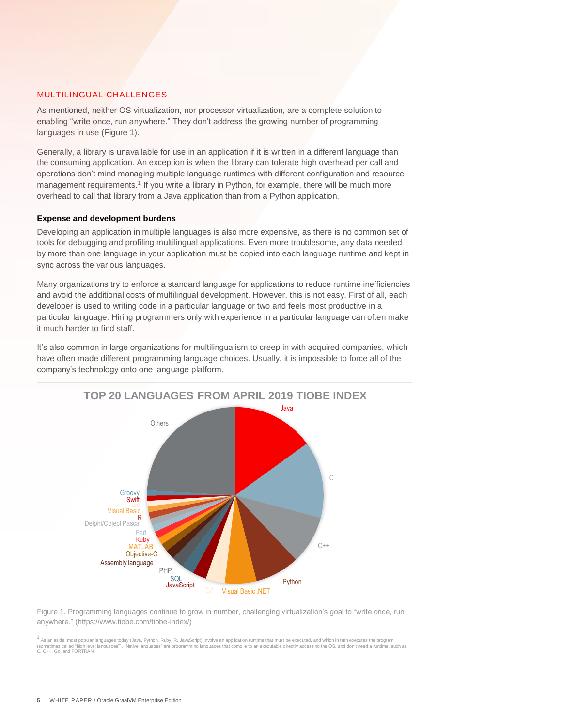### <span id="page-4-0"></span>MULTILINGUAL CHALLENGES

As mentioned, neither OS virtualization, nor processor virtualization, are a complete solution to enabling "write once, run anywhere." They don't address the growing number of programming languages in use (Figure 1).

Generally, a library is unavailable for use in an application if it is written in a different language than the consuming application. An exception is when the library can tolerate high overhead per call and operations don't mind managing multiple language runtimes with different configuration and resource management requirements.<sup>1</sup> If you write a library in Python, for example, there will be much more overhead to call that library from a Java application than from a Python application.

#### <span id="page-4-1"></span>**Expense and development burdens**

Developing an application in multiple languages is also more expensive, as there is no common set of tools for debugging and profiling multilingual applications. Even more troublesome, any data needed by more than one language in your application must be copied into each language runtime and kept in sync across the various languages.

Many organizations try to enforce a standard language for applications to reduce runtime inefficiencies and avoid the additional costs of multilingual development. However, this is not easy. First of all, each developer is used to writing code in a particular language or two and feels most productive in a particular language. Hiring programmers only with experience in a particular language can often make it much harder to find staff.

It's also common in large organizations for multilingualism to creep in with acquired companies, which have often made different programming language choices. Usually, it is impossible to force all of the company's technology onto one language platform.



Figure 1. Programming languages continue to grow in number, challenging virtualization's goal to "write once, run anywhere." (https://www.tiobe.com/tiobe-index/)

<sup>1</sup> As an aside, most popular languages today (Java, Python, Ruby, R, JavaScript) involve an application runtime that must be executed, and which in turn executes the program (sometimes called "high level languages"). "Native languages" are programming languages that compile to an executable directly accessing the OS, and don't need a runtime, such as C, C++, Go, and FORTRAN.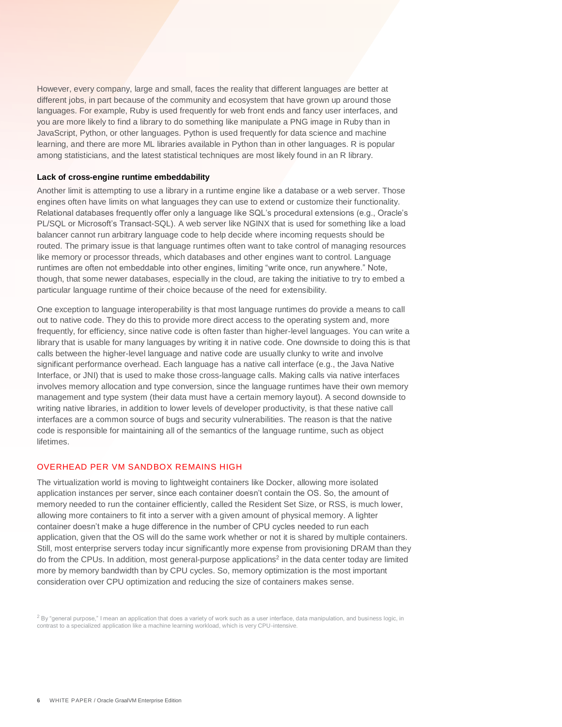However, every company, large and small, faces the reality that different languages are better at different jobs, in part because of the community and ecosystem that have grown up around those languages. For example, Ruby is used frequently for web front ends and fancy user interfaces, and you are more likely to find a library to do something like manipulate a PNG image in Ruby than in JavaScript, Python, or other languages. Python is used frequently for data science and machine learning, and there are more ML libraries available in Python than in other languages. R is popular among statisticians, and the latest statistical techniques are most likely found in an R library.

#### <span id="page-5-0"></span>**Lack of cross-engine runtime embeddability**

Another limit is attempting to use a library in a runtime engine like a database or a web server. Those engines often have limits on what languages they can use to extend or customize their functionality. Relational databases frequently offer only a language like SQL's procedural extensions (e.g., Oracle's PL/SQL or Microsoft's Transact-SQL). A web server like NGINX that is used for something like a load balancer cannot run arbitrary language code to help decide where incoming requests should be routed. The primary issue is that language runtimes often want to take control of managing resources like memory or processor threads, which databases and other engines want to control. Language runtimes are often not embeddable into other engines, limiting "write once, run anywhere." Note, though, that some newer databases, especially in the cloud, are taking the initiative to try to embed a particular language runtime of their choice because of the need for extensibility.

One exception to language interoperability is that most language runtimes do provide a means to call out to native code. They do this to provide more direct access to the operating system and, more frequently, for efficiency, since native code is often faster than higher-level languages. You can write a library that is usable for many languages by writing it in native code. One downside to doing this is that calls between the higher-level language and native code are usually clunky to write and involve significant performance overhead. Each language has a native call interface (e.g., the Java Native Interface, or JNI) that is used to make those cross-language calls. Making calls via native interfaces involves memory allocation and type conversion, since the language runtimes have their own memory management and type system (their data must have a certain memory layout). A second downside to writing native libraries, in addition to lower levels of developer productivity, is that these native call interfaces are a common source of bugs and security vulnerabilities. The reason is that the native code is responsible for maintaining all of the semantics of the language runtime, such as object lifetimes.

#### <span id="page-5-1"></span>OVERHEAD PER VM SANDBOX REMAINS HIGH

The virtualization world is moving to lightweight containers like Docker, allowing more isolated application instances per server, since each container doesn't contain the OS. So, the amount of memory needed to run the container efficiently, called the Resident Set Size, or RSS, is much lower, allowing more containers to fit into a server with a given amount of physical memory. A lighter container doesn't make a huge difference in the number of CPU cycles needed to run each application, given that the OS will do the same work whether or not it is shared by multiple containers. Still, most enterprise servers today incur significantly more expense from provisioning DRAM than they do from the CPUs. In addition, most general-purpose applications<sup>2</sup> in the data center today are limited more by memory bandwidth than by CPU cycles. So, memory optimization is the most important consideration over CPU optimization and reducing the size of containers makes sense.

 $^2$  By "general purpose," I mean an application that does a variety of work such as a user interface, data manipulation, and business logic, in contrast to a specialized application like a machine learning workload, which is very CPU-intensive.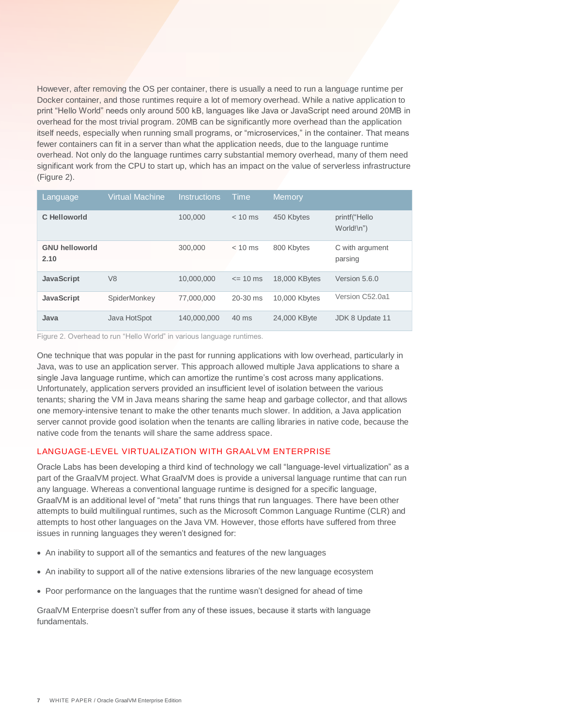However, after removing the OS per container, there is usually a need to run a language runtime per Docker container, and those runtimes require a lot of memory overhead. While a native application to print "Hello World" needs only around 500 kB, languages like Java or JavaScript need around 20MB in overhead for the most trivial program. 20MB can be significantly more overhead than the application itself needs, especially when running small programs, or "microservices," in the container. That means fewer containers can fit in a server than what the application needs, due to the language runtime overhead. Not only do the language runtimes carry substantial memory overhead, many of them need significant work from the CPU to start up, which has an impact on the value of serverless infrastructure (Figure 2).

| Language                      | <b>Virtual Machine</b> | <b>Instructions</b> | Time      | <b>Memory</b> |                                |
|-------------------------------|------------------------|---------------------|-----------|---------------|--------------------------------|
| C Helloworld                  |                        | 100.000             | $< 10$ ms | 450 Kbytes    | printf("Hello<br>$World! \n^n$ |
| <b>GNU helloworld</b><br>2.10 |                        | 300,000             | $< 10$ ms | 800 Kbytes    | C with argument<br>parsing     |
| <b>JavaScript</b>             | V <sub>8</sub>         | 10,000,000          | $= 10$ ms | 18,000 KBytes | Version 5.6.0                  |
| <b>JavaScript</b>             | SpiderMonkey           | 77.000.000          | 20-30 ms  | 10,000 Kbytes | Version C52.0a1                |
| Java                          | Java HotSpot           | 140,000,000         | 40 ms     | 24,000 KByte  | JDK 8 Update 11                |

Figure 2. Overhead to run "Hello World" in various language runtimes.

One technique that was popular in the past for running applications with low overhead, particularly in Java, was to use an application server. This approach allowed multiple Java applications to share a single Java language runtime, which can amortize the runtime's cost across many applications. Unfortunately, application servers provided an insufficient level of isolation between the various tenants; sharing the VM in Java means sharing the same heap and garbage collector, and that allows one memory-intensive tenant to make the other tenants much slower. In addition, a Java application server cannot provide good isolation when the tenants are calling libraries in native code, because the native code from the tenants will share the same address space.

#### <span id="page-6-0"></span>LANGUAGE-LEVEL VIRTUALIZATION WITH GRAALVM ENTERPRISE

Oracle Labs has been developing a third kind of technology we call "language-level virtualization" as a part of the GraalVM project. What GraalVM does is provide a universal language runtime that can run any language. Whereas a conventional language runtime is designed for a specific language, GraalVM is an additional level of "meta" that runs things that run languages. There have been other attempts to build multilingual runtimes, such as the Microsoft Common Language Runtime (CLR) and attempts to host other languages on the Java VM. However, those efforts have suffered from three issues in running languages they weren't designed for:

- An inability to support all of the semantics and features of the new languages
- An inability to support all of the native extensions libraries of the new language ecosystem
- Poor performance on the languages that the runtime wasn't designed for ahead of time

GraalVM Enterprise doesn't suffer from any of these issues, because it starts with language fundamentals.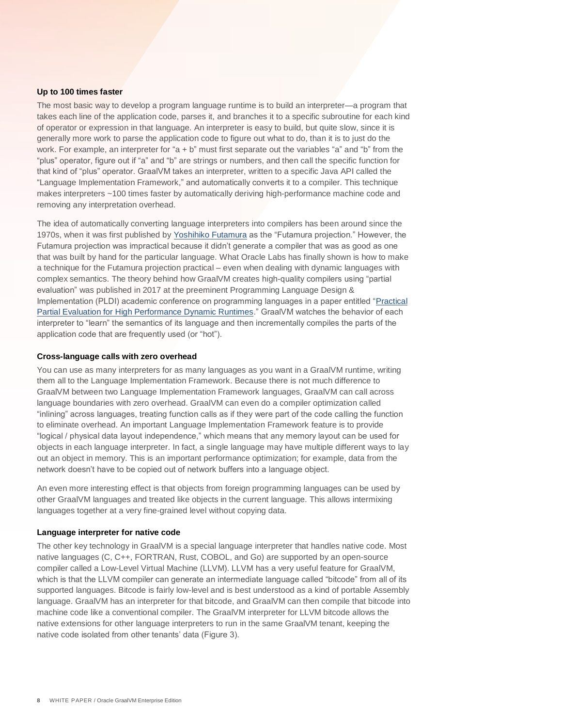#### <span id="page-7-0"></span>**Up to 100 times faster**

The most basic way to develop a program language runtime is to build an interpreter—a program that takes each line of the application code, parses it, and branches it to a specific subroutine for each kind of operator or expression in that language. An interpreter is easy to build, but quite slow, since it is generally more work to parse the application code to figure out what to do, than it is to just do the work. For example, an interpreter for "a + b" must first separate out the variables "a" and "b" from the "plus" operator, figure out if "a" and "b" are strings or numbers, and then call the specific function for that kind of "plus" operator. GraalVM takes an interpreter, written to a specific Java API called the "Language Implementation Framework," and automatically converts it to a compiler. This technique makes interpreters ~100 times faster by automatically deriving high-performance machine code and removing any interpretation overhead.

The idea of automatically converting language interpreters into compilers has been around since the 1970s, when it was first published by [Yoshihiko Futamura](https://en.wikipedia.org/wiki/Yoshihiko_Futamura) as the "Futamura projection." However, the Futamura projection was impractical because it didn't generate a compiler that was as good as one that was built by hand for the particular language. What Oracle Labs has finally shown is how to make a technique for the Futamura projection practical – even when dealing with dynamic languages with complex semantics. The theory behind how GraalVM creates high-quality compilers using "partial evaluation" was published in 2017 at the preeminent Programming Language Design & Implementation (PLDI) academic conference on programming languages in a paper entitled ["Practical](https://pldi17.sigplan.org/event/pldi-2017-papers-practical-partial-evaluation-for-high-performance-dynamic-language-runtimes)  [Partial Evaluation for High Performance Dynamic Runtimes."](https://pldi17.sigplan.org/event/pldi-2017-papers-practical-partial-evaluation-for-high-performance-dynamic-language-runtimes) GraalVM watches the behavior of each interpreter to "learn" the semantics of its language and then incrementally compiles the parts of the application code that are frequently used (or "hot").

#### <span id="page-7-1"></span>**Cross-language calls with zero overhead**

You can use as many interpreters for as many languages as you want in a GraalVM runtime, writing them all to the Language Implementation Framework. Because there is not much difference to GraalVM between two Language Implementation Framework languages, GraalVM can call across language boundaries with zero overhead. GraalVM can even do a compiler optimization called "inlining" across languages, treating function calls as if they were part of the code calling the function to eliminate overhead. An important Language Implementation Framework feature is to provide "logical / physical data layout independence," which means that any memory layout can be used for objects in each language interpreter. In fact, a single language may have multiple different ways to lay out an object in memory. This is an important performance optimization; for example, data from the network doesn't have to be copied out of network buffers into a language object.

An even more interesting effect is that objects from foreign programming languages can be used by other GraalVM languages and treated like objects in the current language. This allows intermixing languages together at a very fine-grained level without copying data.

#### <span id="page-7-2"></span>**Language interpreter for native code**

The other key technology in GraalVM is a special language interpreter that handles native code. Most native languages (C, C++, FORTRAN, Rust, COBOL, and Go) are supported by an open-source compiler called a Low-Level Virtual Machine (LLVM). LLVM has a very useful feature for GraalVM, which is that the LLVM compiler can generate an intermediate language called "bitcode" from all of its supported languages. Bitcode is fairly low-level and is best understood as a kind of portable Assembly language. GraalVM has an interpreter for that bitcode, and GraalVM can then compile that bitcode into machine code like a conventional compiler. The GraalVM interpreter for LLVM bitcode allows the native extensions for other language interpreters to run in the same GraalVM tenant, keeping the native code isolated from other tenants' data (Figure 3).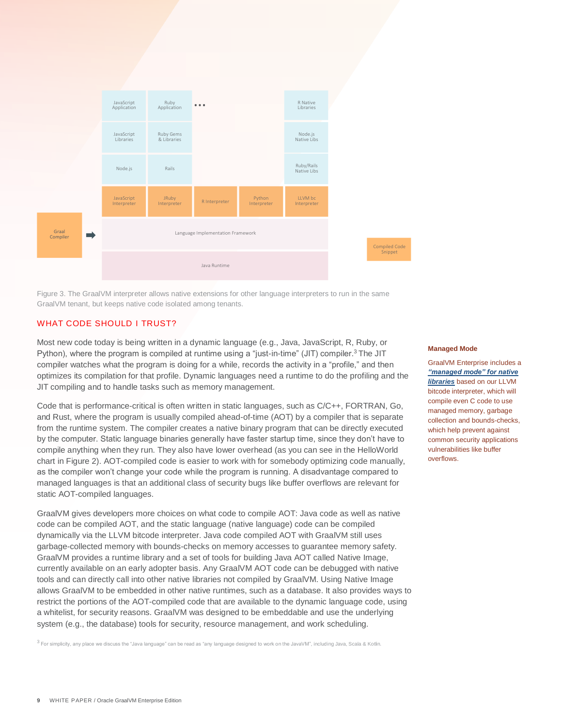

Figure 3. The GraalVM interpreter allows native extensions for other language interpreters to run in the same GraalVM tenant, but keeps native code isolated among tenants.

## WHAT CODE SHOULD I TRUST?

Most new code today is being written in a dynamic language (e.g., Java, JavaScript, R, Ruby, or Python), where the program is compiled at runtime using a "just-in-time" (JIT) compiler.<sup>3</sup> The JIT compiler watches what the program is doing for a while, records the activity in a "profile," and then optimizes its compilation for that profile. Dynamic languages need a runtime to do the profiling and the JIT compiling and to handle tasks such as memory management.

Code that is performance-critical is often written in static languages, such as C/C++, FORTRAN, Go, and Rust, where the program is usually compiled ahead-of-time (AOT) by a compiler that is separate from the runtime system. The compiler creates a native binary program that can be directly executed by the computer. Static language binaries generally have faster startup time, since they don't have to compile anything when they run. They also have lower overhead (as you can see in the HelloWorld chart in Figure 2). AOT-compiled code is easier to work with for somebody optimizing code manually, as the compiler won't change your code while the program is running. A disadvantage compared to managed languages is that an additional class of security bugs like buffer overflows are relevant for static AOT-compiled languages.

GraalVM gives developers more choices on what code to compile AOT: Java code as well as native code can be compiled AOT, and the static language (native language) code can be compiled dynamically via the LLVM bitcode interpreter. Java code compiled AOT with GraalVM still uses garbage-collected memory with bounds-checks on memory accesses to guarantee memory safety. GraalVM provides a runtime library and a set of tools for building Java AOT called Native Image, currently available on an early adopter basis. Any GraalVM AOT code can be debugged with native tools and can directly call into other native libraries not compiled by GraalVM. Using Native Image allows GraalVM to be embedded in other native runtimes, such as a database. It also provides ways to restrict the portions of the AOT-compiled code that are available to the dynamic language code, using a whitelist, for security reasons. GraalVM was designed to be embeddable and use the underlying system (e.g., the database) tools for security, resource management, and work scheduling.

 $^3$  For simplicity, any place we discuss the "Java language" can be read as "any language designed to work on the JavaVM", including Java, Scala & Kotlin.

#### **Managed Mode**

GraalVM Enterprise includes a *["managed mode" for native](https://medium.com/graalvm/safe-and-sandboxed-execution-of-native-code-f6096b35c360)  [libraries](https://medium.com/graalvm/safe-and-sandboxed-execution-of-native-code-f6096b35c360)* based on our LLVM bitcode interpreter, which will compile even C code to use managed memory, garbage collection and bounds-checks, which help prevent against common security applications vulnerabilities like buffer overflows.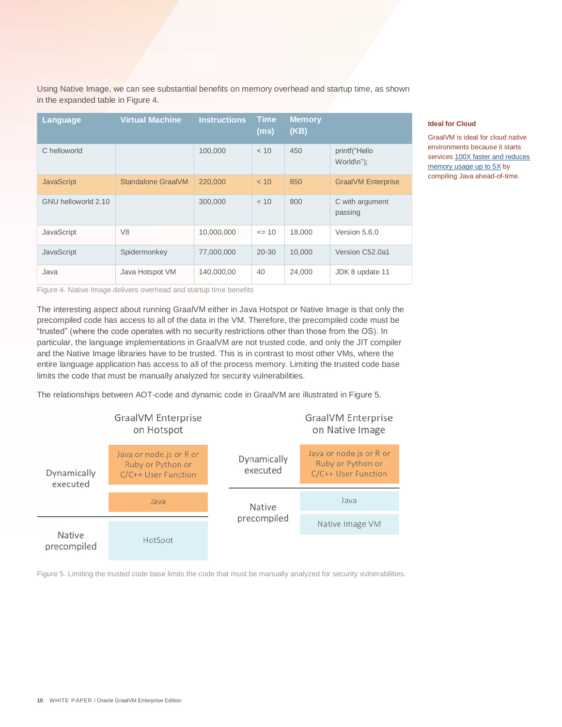Using Native Image, we can see substantial benefits on memory overhead and startup time, as shown in the expanded table in Figure 4.

| Language            | <b>Virtual Machine</b> | <b>Instructions</b> | <b>Time</b><br>(ms) | <b>Memory</b><br>(KB) |                             |
|---------------------|------------------------|---------------------|---------------------|-----------------------|-----------------------------|
| C helloworld        |                        | 100,000             | < 10                | 450                   | printf("Hello<br>World\n"); |
| <b>JavaScript</b>   | Standalone Graal VM    | 220,000             | < 10                | 850                   | <b>GraalVM Enterprise</b>   |
| GNU helloworld 2.10 |                        | 300,000             | < 10                | 800                   | C with argument<br>passing  |
| JavaScript          | V <sub>8</sub>         | 10,000,000          | $= 10$              | 18.000                | Version 5.6.0               |
| JavaScript          | Spidermonkey           | 77,000,000          | $20 - 30$           | 10.000                | Version C52,0a1             |
| Java                | Java Hotspot VM        | 140,000,00          | 40                  | 24,000                | JDK 8 update 11             |

Figure 4. Native Image delivers overhead and startup time benefits

The interesting aspect about running GraalVM either in Java Hotspot or Native Image is that only the precompiled code has access to all of the data in the VM. Therefore, the precompiled code must be "trusted" (where the code operates with no security restrictions other than those from the OS). In particular, the language implementations in GraalVM are not trusted code, and only the JIT compiler and the Native Image libraries have to be trusted. This is in contrast to most other VMs, where the entire language application has access to all of the process memory. Limiting the trusted code base limits the code that must be manually analyzed for security vulnerabilities.

The relationships between AOT-code and dynamic code in GraalVM are illustrated in Figure 5.



Figure 5. Limiting the trusted code base limits the code that must be manually analyzed for security vulnerabilities.

#### **Ideal for Cloud**

GraalVM is ideal for cloud native environments because it starts services 100X faster and reduces [memory usage up to 5X](https://quarkus.io/) by compiling Java ahead-of-time.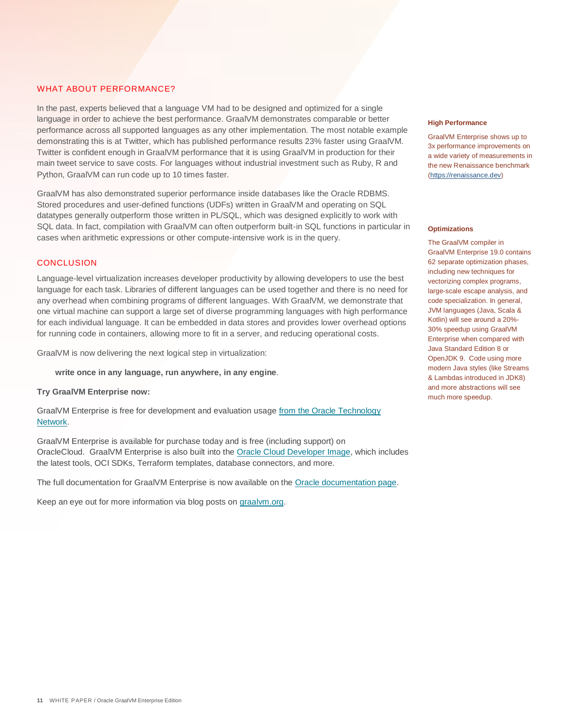#### WHAT ABOUT PERFORMANCE?

In the past, experts believed that a language VM had to be designed and optimized for a single language in order to achieve the best performance. GraalVM demonstrates comparable or better performance across all supported languages as any other implementation. The most notable example demonstrating this is at Twitter, which has published performance results 23% faster using GraalVM. Twitter is confident enough in GraalVM performance that it is using GraalVM in production for their main tweet service to save costs. For languages without industrial investment such as Ruby, R and Python, GraalVM can run code up to 10 times faster.

GraalVM has also demonstrated superior performance inside databases like the Oracle RDBMS. Stored procedures and user-defined functions (UDFs) written in GraalVM and operating on SQL datatypes generally outperform those written in PL/SQL, which was designed explicitly to work with SQL data. In fact, compilation with GraalVM can often outperform built-in SQL functions in particular in cases when arithmetic expressions or other compute-intensive work is in the query.

# <span id="page-10-0"></span>CONCLUSION

Language-level virtualization increases developer productivity by allowing developers to use the best language for each task. Libraries of different languages can be used together and there is no need for any overhead when combining programs of different languages. With GraalVM, we demonstrate that one virtual machine can support a large set of diverse programming languages with high performance for each individual language. It can be embedded in data stores and provides lower overhead options for running code in containers, allowing more to fit in a server, and reducing operational costs.

GraalVM is now delivering the next logical step in virtualization:

 **write once in any language, run anywhere, in any engine**.

**Try GraalVM Enterprise now:**

GraalVM Enterprise is free for development and evaluation usage [from the Oracle Technology](https://www.oracle.com/technetwork/oracle-labs/program-languages/downloads/index.html)  [Network.](https://www.oracle.com/technetwork/oracle-labs/program-languages/downloads/index.html) 

GraalVM Enterprise is available for purchase today and is free (including support) on OracleCloud. GraalVM Enterprise is also built into the [Oracle Cloud Developer Image,](https://blogs.oracle.com/linux/announcing-the-oracle-cloud-developer-image-for-oracle-cloud-infrastructure) which includes the latest tools, OCI SDKs, Terraform templates, database connectors, and more.

The full documentation for GraalVM Enterprise is now available on the [Oracle documentation page.](https://docs.oracle.com/graalvm) 

Keep an eye out for more information via blog posts on [graalvm.org.](https://www.graalvm.org/community/press/)

#### **High Performance**

GraalVM Enterprise shows up to 3x performance improvements on a wide variety of measurements in the new Renaissance benchmark [\(https://renaissance.dev\)](https://renaissance.dev/)

#### **Optimizations**

The GraalVM compiler in GraalVM Enterprise 19.0 contains 62 separate optimization phases, including new techniques for vectorizing complex programs, large-scale escape analysis, and code specialization. In general, JVM languages (Java, Scala & Kotlin) will see around a 20%- 30% speedup using GraalVM Enterprise when compared with Java Standard Edition 8 or OpenJDK 9. Code using more modern Java styles (like Streams & Lambdas introduced in JDK8) and more abstractions will see much more speedup.